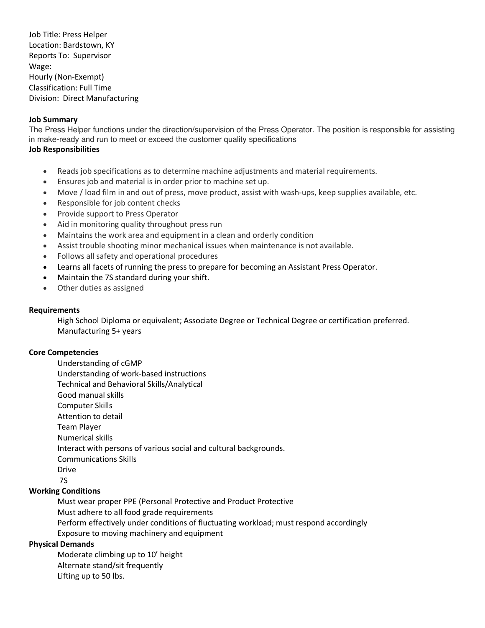Job Title: Press Helper Location: Bardstown, KY Reports To: Supervisor Wage: Hourly (Non-Exempt) Classification: Full Time Division: Direct Manufacturing

### **Job Summary**

The Press Helper functions under the direction/supervision of the Press Operator. The position is responsible for assisting in make-ready and run to meet or exceed the customer quality specifications

### **Job Responsibilities**

- Reads job specifications as to determine machine adjustments and material requirements.
- Ensures job and material is in order prior to machine set up.
- Move / load film in and out of press, move product, assist with wash-ups, keep supplies available, etc.
- Responsible for job content checks
- Provide support to Press Operator
- Aid in monitoring quality throughout press run
- Maintains the work area and equipment in a clean and orderly condition
- Assist trouble shooting minor mechanical issues when maintenance is not available.
- Follows all safety and operational procedures
- Learns all facets of running the press to prepare for becoming an Assistant Press Operator.
- Maintain the 7S standard during your shift.
- Other duties as assigned

# **Requirements**

High School Diploma or equivalent; Associate Degree or Technical Degree or certification preferred. Manufacturing 5+ years

# **Core Competencies**

Understanding of cGMP Understanding of work-based instructions Technical and Behavioral Skills/Analytical Good manual skills Computer Skills Attention to detail Team Player Numerical skills Interact with persons of various social and cultural backgrounds. Communications Skills Drive

7S

# **Working Conditions**

Must wear proper PPE (Personal Protective and Product Protective Must adhere to all food grade requirements Perform effectively under conditions of fluctuating workload; must respond accordingly Exposure to moving machinery and equipment

# **Physical Demands**

Moderate climbing up to 10' height Alternate stand/sit frequently Lifting up to 50 lbs.